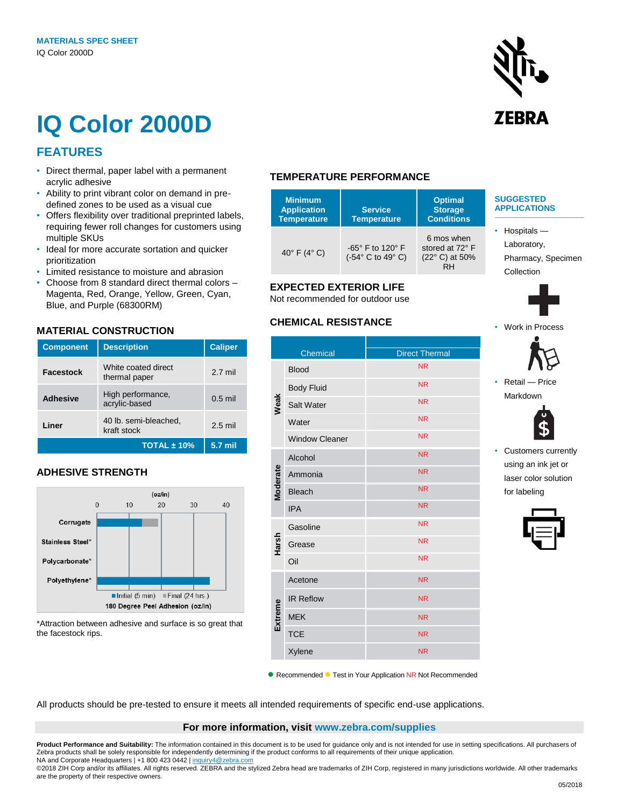# **IQ Color 2000D**

# **FEATURES**

- Direct thermal, paper label with a permanent acrylic adhesive
- Ability to print vibrant color on demand in predefined zones to be used as a visual cue
- Offers flexibility over traditional preprinted labels, requiring fewer roll changes for customers using multiple SKUs
- Ideal for more accurate sortation and quicker prioritization
- Limited resistance to moisture and abrasion
- Choose from 8 standard direct thermal colors Magenta, Red, Orange, Yellow, Green, Cyan, Blue, and Purple (68300RM)

# **MATERIAL CONSTRUCTION**

| <b>Component</b> | <b>Description</b>                   | <b>Caliper</b> |
|------------------|--------------------------------------|----------------|
| Facestock        | White coated direct<br>thermal paper | $2.7$ mil      |
| <b>Adhesive</b>  | High performance,<br>acrylic-based   | $0.5$ mil      |
| Liner            | 40 lb. semi-bleached,<br>kraft stock | $2.5$ mil      |
|                  | TOTAL $±$ 10%                        | 5.7 mil        |

# **ADHESIVE STRENGTH**



\*Attraction between adhesive and surface is so great that the facestock rips.

# **TEMPERATURE PERFORMANCE**

| <b>Minimum</b><br><b>Application</b><br><b>Temperature</b> | <b>Service</b><br><b>Temperature</b>                                                       | <b>Optimal</b><br><b>Storage</b><br><b>Conditions</b> | <b>SUGGESTED</b><br><b>APPLICATIONS</b>                                |
|------------------------------------------------------------|--------------------------------------------------------------------------------------------|-------------------------------------------------------|------------------------------------------------------------------------|
| 40 $\degree$ F (4 $\degree$ C)                             | -65 $^{\circ}$ F to 120 $^{\circ}$ F<br>$(-54^{\circ} \text{ C to } 49^{\circ} \text{ C})$ | 6 mos when<br>stored at 72° F<br>(22° C) at 50%<br>RH | $\cdot$ Hospitals —<br>Laboratory,<br>Pharmacy, Specimen<br>Collection |

# **EXPECTED EXTERIOR LIFE**

Not recommended for outdoor use

### **CHEMICAL RESISTANCE**

|          | Chemical              | <b>Direct Thermal</b> |
|----------|-----------------------|-----------------------|
| Weak     | <b>Blood</b>          | <b>NR</b>             |
|          | <b>Body Fluid</b>     | <b>NR</b>             |
|          | Salt Water            | <b>NR</b>             |
|          | Water                 | <b>NR</b>             |
|          | <b>Window Cleaner</b> | <b>NR</b>             |
| Moderate | Alcohol               | <b>NR</b>             |
|          | Ammonia               | <b>NR</b>             |
|          | <b>Bleach</b>         | <b>NR</b>             |
|          | <b>IPA</b>            | <b>NR</b>             |
| Harsh    | Gasoline              | <b>NR</b>             |
|          | Grease                | <b>NR</b>             |
|          | Oil                   | <b>NR</b>             |
| Extreme  | Acetone               | <b>NR</b>             |
|          | <b>IR Reflow</b>      | <b>NR</b>             |
|          | <b>MEK</b>            | <b>NR</b>             |
|          | <b>TCE</b>            | <b>NR</b>             |
|          | Xylene                | <b>NR</b>             |

● Recommended ● Test in Your Application NR Not Recommended

All products should be pre-tested to ensure it meets all intended requirements of specific end-use applications.

#### **For more information, visit www.zebra.com/supplies**

**Product Performance and Suitability:** The information contained in this document is to be used for guidance only and is not intended for use in setting specifications. All purchasers of Zebra products shall be solely responsible for independently determining if the product conforms to all requirements of their unique application. NA and Corporate Headquarters | +1 800 423 0442 [| inquiry4@zebra.com](mailto:inquiry4@zebra.com)

©2018 ZIH Corp and/or its affiliates. All rights reserved. ZEBRA and the stylized Zebra head are trademarks of ZIH Corp, registered in many jurisdictions worldwide. All other trademarks are the property of their respective owners.



• Work in Process

• Retail — Price Markdown

> • Customers currently using an ink jet or laser color solution for labeling